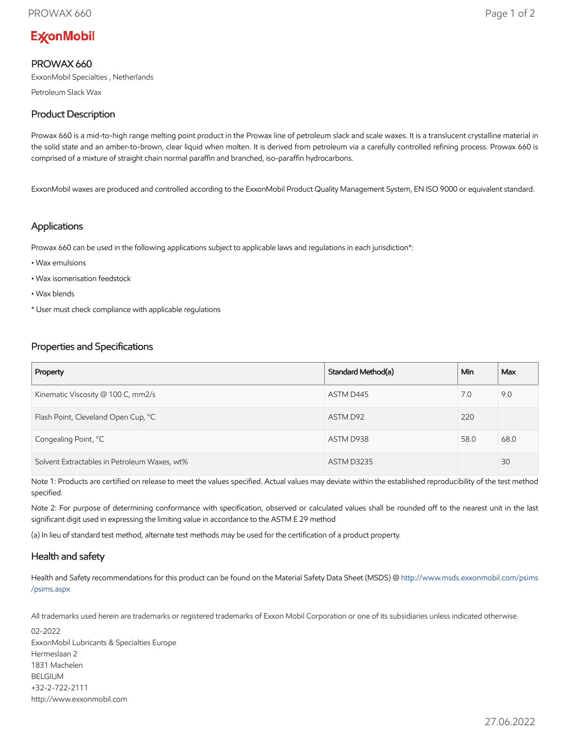# **ExconMobil**

# PROWAX 660

ExxonMobil Specialties , Netherlands

Petroleum Slack Wax

# Product Description

Prowax 660 is a mid-to-high range melting point product in the Prowax line of petroleum slack and scale waxes. It is a translucent crystalline material in the solid state and an amber-to-brown, clear liquid when molten. It is derived from petroleum via a carefully controlled refining process. Prowax 660 is comprised of a mixture of straight chain normal paraffin and branched, iso-paraffin hydrocarbons.

ExxonMobil waxes are produced and controlled according to the ExxonMobil Product Quality Management System, EN ISO 9000 or equivalent standard.

#### Applications

Prowax 660 can be used in the following applications subject to applicable laws and regulations in each jurisdiction\*:

- Wax emulsions
- Wax isomerisation feedstock
- Wax blends
- \* User must check compliance with applicable regulations

## Properties and Specifications

| Property                                     | Standard Method(a) | Min  | Max  |
|----------------------------------------------|--------------------|------|------|
| Kinematic Viscosity @ 100 C, mm2/s           | ASTM D445          | 7.0  | 9.0  |
| Flash Point, Cleveland Open Cup, °C          | ASTM D92           | 220  |      |
| Congealing Point, °C                         | ASTM D938          | 58.0 | 68.0 |
| Solvent Extractables in Petroleum Waxes, wt% | <b>ASTM D3235</b>  |      | 30   |

Note 1: Products are certified on release to meet the values specified. Actual values may deviate within the established reproducibility of the test method specified.

Note 2: For purpose of determining conformance with specification, observed or calculated values shall be rounded off to the nearest unit in the last significant digit used in expressing the limiting value in accordance to the ASTM E 29 method

(a) In lieu of standard test method, alternate test methods may be used for the certification of a product property.

### Health and safety

Health and Safety recommendations for this product can be found on the Material Safety Data Sheet (MSDS) @ [http://www.msds.exxonmobil.com/psims](http://www.msds.exxonmobil.com/psims/psims.aspx) /psims.aspx

All trademarks used herein are trademarks or registered trademarks of Exxon Mobil Corporation or one of its subsidiaries unless indicated otherwise.

02-2022 ExxonMobil Lubricants & Specialties Europe Hermeslaan 2 1831 Machelen BELGIUM +32-2-722-2111 http://www.exxonmobil.com